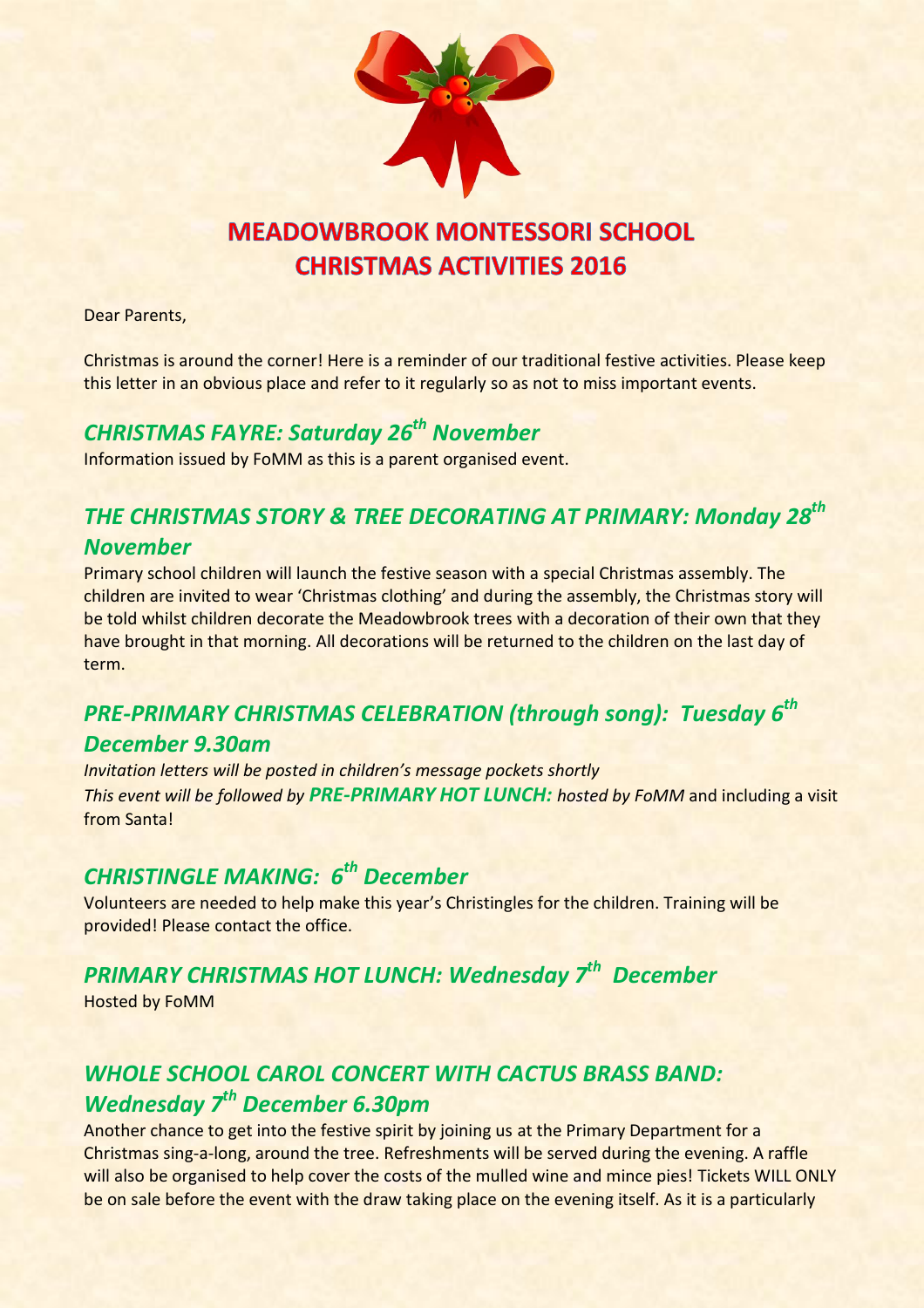

# **MEADOWBROOK MONTESSORI SCHOOL CHRISTMAS ACTIVITIES 2016**

Dear Parents,

Christmas is around the corner! Here is a reminder of our traditional festive activities. Please keep this letter in an obvious place and refer to it regularly so as not to miss important events.

## *CHRISTMAS FAYRE: Saturday 26th November*

Information issued by FoMM as this is a parent organised event.

## *THE CHRISTMAS STORY & TREE DECORATING AT PRIMARY: Monday 28th November*

Primary school children will launch the festive season with a special Christmas assembly. The children are invited to wear 'Christmas clothing' and during the assembly, the Christmas story will be told whilst children decorate the Meadowbrook trees with a decoration of their own that they have brought in that morning. All decorations will be returned to the children on the last day of term.

#### *PRE-PRIMARY CHRISTMAS CELEBRATION (through song): Tuesday 6th*

#### *December 9.30am*

*Invitation letters will be posted in children's message pockets shortly This event will be followed by PRE-PRIMARY HOT LUNCH: hosted by FoMM* and including a visit from Santa!

### *CHRISTINGLE MAKING: 6th December*

Volunteers are needed to help make this year's Christingles for the children. Training will be provided! Please contact the office.

# *PRIMARY CHRISTMAS HOT LUNCH: Wednesday 7th December*

Hosted by FoMM

## *WHOLE SCHOOL CAROL CONCERT WITH CACTUS BRASS BAND: Wednesday 7th December 6.30pm*

Another chance to get into the festive spirit by joining us at the Primary Department for a Christmas sing-a-long, around the tree. Refreshments will be served during the evening. A raffle will also be organised to help cover the costs of the mulled wine and mince pies! Tickets WILL ONLY be on sale before the event with the draw taking place on the evening itself. As it is a particularly